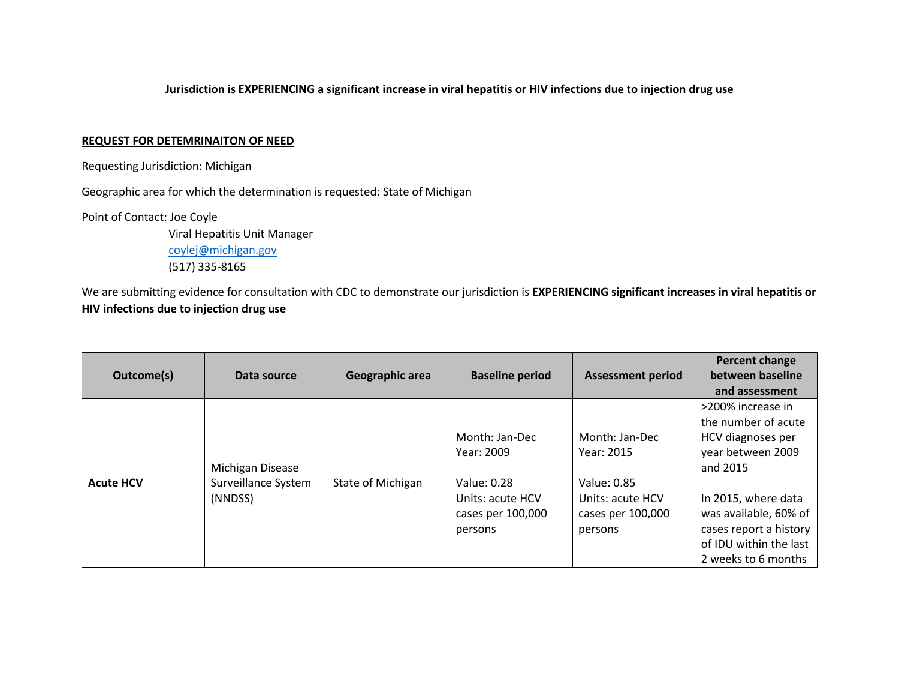## **Jurisdiction is EXPERIENCING a significant increase in viral hepatitis or HIV infections due to injection drug use**

## **REQUEST FOR DETEMRINAITON OF NEED**

Requesting Jurisdiction: Michigan

Geographic area for which the determination is requested: State of Michigan

Point of Contact: Joe Coyle

Viral Hepatitis Unit Manager [coylej@michigan.gov](mailto:coylej@michigan.gov) (517) 335-8165

We are submitting evidence for consultation with CDC to demonstrate our jurisdiction is **EXPERIENCING significant increases in viral hepatitis or HIV infections due to injection drug use**

| Outcome(s)       | Data source                                        | Geographic area   | <b>Baseline period</b>                                                                          | <b>Assessment period</b>                                                                        | Percent change<br>between baseline<br>and assessment                                                                                                                                                                      |
|------------------|----------------------------------------------------|-------------------|-------------------------------------------------------------------------------------------------|-------------------------------------------------------------------------------------------------|---------------------------------------------------------------------------------------------------------------------------------------------------------------------------------------------------------------------------|
| <b>Acute HCV</b> | Michigan Disease<br>Surveillance System<br>(NNDSS) | State of Michigan | Month: Jan-Dec<br>Year: 2009<br>Value: 0.28<br>Units: acute HCV<br>cases per 100,000<br>persons | Month: Jan-Dec<br>Year: 2015<br>Value: 0.85<br>Units: acute HCV<br>cases per 100,000<br>persons | >200% increase in<br>the number of acute<br>HCV diagnoses per<br>year between 2009<br>and 2015<br>In 2015, where data<br>was available, 60% of<br>cases report a history<br>of IDU within the last<br>2 weeks to 6 months |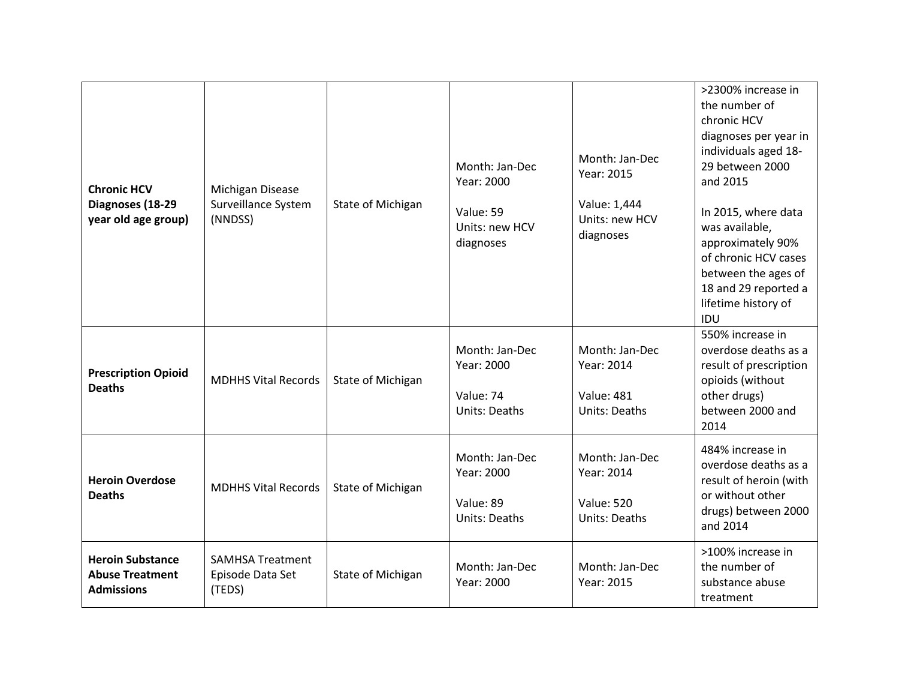| <b>Chronic HCV</b><br>Diagnoses (18-29<br>year old age group)          | Michigan Disease<br>Surveillance System<br>(NNDSS)    | State of Michigan | Month: Jan-Dec<br>Year: 2000<br>Value: 59<br>Units: new HCV<br>diagnoses | Month: Jan-Dec<br>Year: 2015<br>Value: 1,444<br>Units: new HCV<br>diagnoses | >2300% increase in<br>the number of<br>chronic HCV<br>diagnoses per year in<br>individuals aged 18-<br>29 between 2000<br>and 2015<br>In 2015, where data<br>was available,<br>approximately 90%<br>of chronic HCV cases<br>between the ages of<br>18 and 29 reported a<br>lifetime history of<br>IDU |
|------------------------------------------------------------------------|-------------------------------------------------------|-------------------|--------------------------------------------------------------------------|-----------------------------------------------------------------------------|-------------------------------------------------------------------------------------------------------------------------------------------------------------------------------------------------------------------------------------------------------------------------------------------------------|
| <b>Prescription Opioid</b><br><b>Deaths</b>                            | <b>MDHHS Vital Records</b>                            | State of Michigan | Month: Jan-Dec<br>Year: 2000<br>Value: 74<br><b>Units: Deaths</b>        | Month: Jan-Dec<br>Year: 2014<br><b>Value: 481</b><br><b>Units: Deaths</b>   | 550% increase in<br>overdose deaths as a<br>result of prescription<br>opioids (without<br>other drugs)<br>between 2000 and<br>2014                                                                                                                                                                    |
| <b>Heroin Overdose</b><br><b>Deaths</b>                                | <b>MDHHS Vital Records</b>                            | State of Michigan | Month: Jan-Dec<br>Year: 2000<br>Value: 89<br>Units: Deaths               | Month: Jan-Dec<br>Year: 2014<br><b>Value: 520</b><br><b>Units: Deaths</b>   | 484% increase in<br>overdose deaths as a<br>result of heroin (with<br>or without other<br>drugs) between 2000<br>and 2014                                                                                                                                                                             |
| <b>Heroin Substance</b><br><b>Abuse Treatment</b><br><b>Admissions</b> | <b>SAMHSA Treatment</b><br>Episode Data Set<br>(TEDS) | State of Michigan | Month: Jan-Dec<br>Year: 2000                                             | Month: Jan-Dec<br>Year: 2015                                                | >100% increase in<br>the number of<br>substance abuse<br>treatment                                                                                                                                                                                                                                    |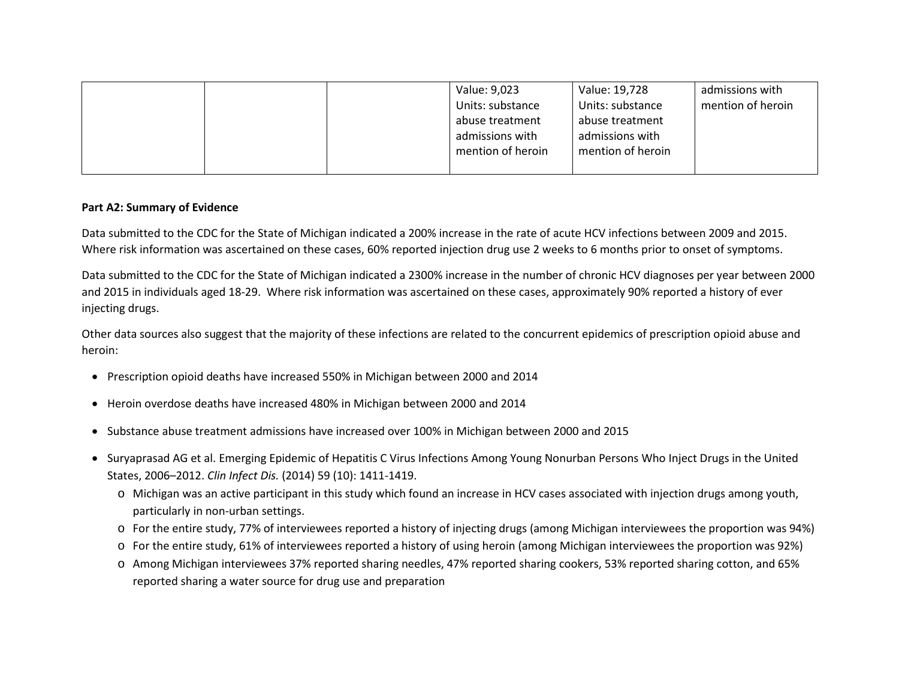|  | Value: 9,023      | Value: 19,728     | admissions with   |
|--|-------------------|-------------------|-------------------|
|  | Units: substance  | Units: substance  | mention of heroin |
|  | abuse treatment   | abuse treatment   |                   |
|  | admissions with   | admissions with   |                   |
|  | mention of heroin | mention of heroin |                   |
|  |                   |                   |                   |

## **Part A2: Summary of Evidence**

Data submitted to the CDC for the State of Michigan indicated a 200% increase in the rate of acute HCV infections between 2009 and 2015. Where risk information was ascertained on these cases, 60% reported injection drug use 2 weeks to 6 months prior to onset of symptoms.

Data submitted to the CDC for the State of Michigan indicated a 2300% increase in the number of chronic HCV diagnoses per year between 2000 and 2015 in individuals aged 18-29. Where risk information was ascertained on these cases, approximately 90% reported a history of ever injecting drugs.

Other data sources also suggest that the majority of these infections are related to the concurrent epidemics of prescription opioid abuse and heroin:

- Prescription opioid deaths have increased 550% in Michigan between 2000 and 2014
- Heroin overdose deaths have increased 480% in Michigan between 2000 and 2014
- Substance abuse treatment admissions have increased over 100% in Michigan between 2000 and 2015
- Suryaprasad AG et al. Emerging Epidemic of Hepatitis C Virus Infections Among Young Nonurban Persons Who Inject Drugs in the United States, 2006–2012. *Clin Infect Dis.* (2014) 59 (10): 1411-1419.
	- o Michigan was an active participant in this study which found an increase in HCV cases associated with injection drugs among youth, particularly in non-urban settings.
	- o For the entire study, 77% of interviewees reported a history of injecting drugs (among Michigan interviewees the proportion was 94%)
	- o For the entire study, 61% of interviewees reported a history of using heroin (among Michigan interviewees the proportion was 92%)
	- o Among Michigan interviewees 37% reported sharing needles, 47% reported sharing cookers, 53% reported sharing cotton, and 65% reported sharing a water source for drug use and preparation